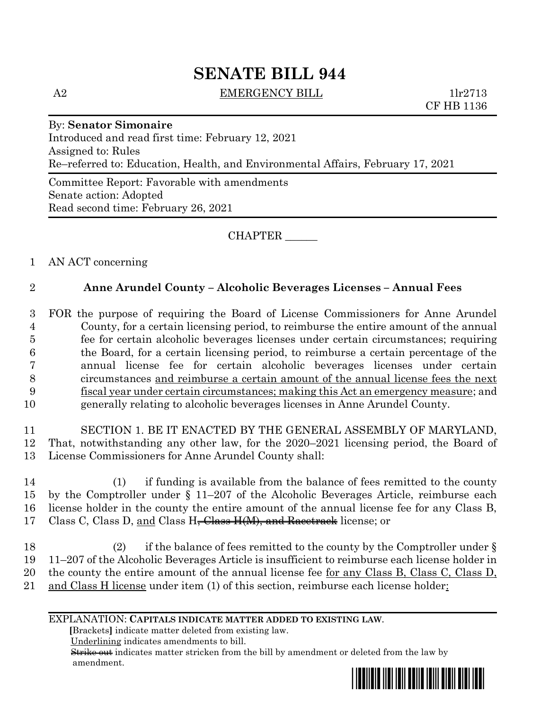# **SENATE BILL 944**

A2 EMERGENCY BILL 1lr2713

CF HB 1136

# By: **Senator Simonaire**

Introduced and read first time: February 12, 2021 Assigned to: Rules Re–referred to: Education, Health, and Environmental Affairs, February 17, 2021

Committee Report: Favorable with amendments Senate action: Adopted Read second time: February 26, 2021

CHAPTER \_\_\_\_\_\_

# 1 AN ACT concerning

### 2 **Anne Arundel County – Alcoholic Beverages Licenses – Annual Fees**

 FOR the purpose of requiring the Board of License Commissioners for Anne Arundel County, for a certain licensing period, to reimburse the entire amount of the annual fee for certain alcoholic beverages licenses under certain circumstances; requiring the Board, for a certain licensing period, to reimburse a certain percentage of the annual license fee for certain alcoholic beverages licenses under certain circumstances and reimburse a certain amount of the annual license fees the next fiscal year under certain circumstances; making this Act an emergency measure; and generally relating to alcoholic beverages licenses in Anne Arundel County.

11 SECTION 1. BE IT ENACTED BY THE GENERAL ASSEMBLY OF MARYLAND, 12 That, notwithstanding any other law, for the 2020–2021 licensing period, the Board of 13 License Commissioners for Anne Arundel County shall:

 (1) if funding is available from the balance of fees remitted to the county by the Comptroller under § 11–207 of the Alcoholic Beverages Article, reimburse each license holder in the county the entire amount of the annual license fee for any Class B, 17 Class C, Class D, and Class H<del>, Class H(M), and Racetrack</del> license; or

 (2) if the balance of fees remitted to the county by the Comptroller under § 11–207 of the Alcoholic Beverages Article is insufficient to reimburse each license holder in the county the entire amount of the annual license fee for any Class B, Class C, Class D, 21 and Class H license under item (1) of this section, reimburse each license holder:

#### EXPLANATION: **CAPITALS INDICATE MATTER ADDED TO EXISTING LAW**.

 **[**Brackets**]** indicate matter deleted from existing law.

Underlining indicates amendments to bill.

 Strike out indicates matter stricken from the bill by amendment or deleted from the law by amendment.